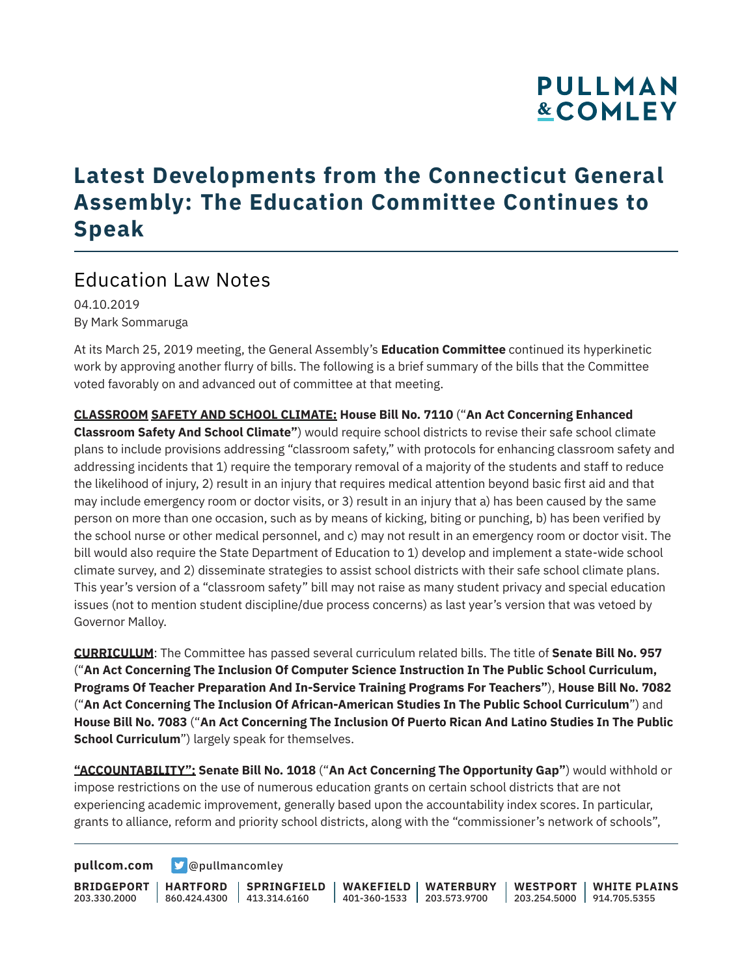### **Latest Developments from the Connecticut General Assembly: The Education Committee Continues to Speak**

### Education Law Notes

04.10.2019 By Mark Sommaruga

At its March 25, 2019 meeting, the General Assembly's **Education Committee** continued its hyperkinetic work by approving another flurry of bills. The following is a brief summary of the bills that the Committee voted favorably on and advanced out of committee at that meeting.

**CLASSROOM SAFETY AND SCHOOL CLIMATE: House Bill No. 7110** ("**An Act Concerning Enhanced Classroom Safety And School Climate"**) would require school districts to revise their safe school climate plans to include provisions addressing "classroom safety," with protocols for enhancing classroom safety and addressing incidents that 1) require the temporary removal of a majority of the students and staff to reduce the likelihood of injury, 2) result in an injury that requires medical attention beyond basic first aid and that may include emergency room or doctor visits, or 3) result in an injury that a) has been caused by the same person on more than one occasion, such as by means of kicking, biting or punching, b) has been verified by the school nurse or other medical personnel, and c) may not result in an emergency room or doctor visit. The bill would also require the State Department of Education to 1) develop and implement a state-wide school climate survey, and 2) disseminate strategies to assist school districts with their safe school climate plans. This year's version of a "classroom safety" bill may not raise as many student privacy and special education issues (not to mention student discipline/due process concerns) as last year's version that was vetoed by Governor Malloy.

**CURRICULUM**: The Committee has passed several curriculum related bills. The title of **Senate Bill No. 957** ("**An Act Concerning The Inclusion Of Computer Science Instruction In The Public School Curriculum, Programs Of Teacher Preparation And In-Service Training Programs For Teachers"**), **House Bill No. 7082** ("**An Act Concerning The Inclusion Of African-American Studies In The Public School Curriculum**") and **House Bill No. 7083** ("**An Act Concerning The Inclusion Of Puerto Rican And Latino Studies In The Public School Curriculum**") largely speak for themselves.

**"ACCOUNTABILITY": Senate Bill No. 1018** ("**An Act Concerning The Opportunity Gap"**) would withhold or impose restrictions on the use of numerous education grants on certain school districts that are not experiencing academic improvement, generally based upon the accountability index scores. In particular, grants to alliance, reform and priority school districts, along with the "commissioner's network of schools",

**[pullcom.com](https://www.pullcom.com) g** [@pullmancomley](https://twitter.com/PullmanComley)

**BRIDGEPORT HARTFORD** 203.330.2000 860.424.4300 413.314.6160 **SPRINGFIELD WAKEFIELD WATERBURY** 401-360-1533 203.573.9700 **WESTPORT WHITE PLAINS** 203.254.5000 914.705.5355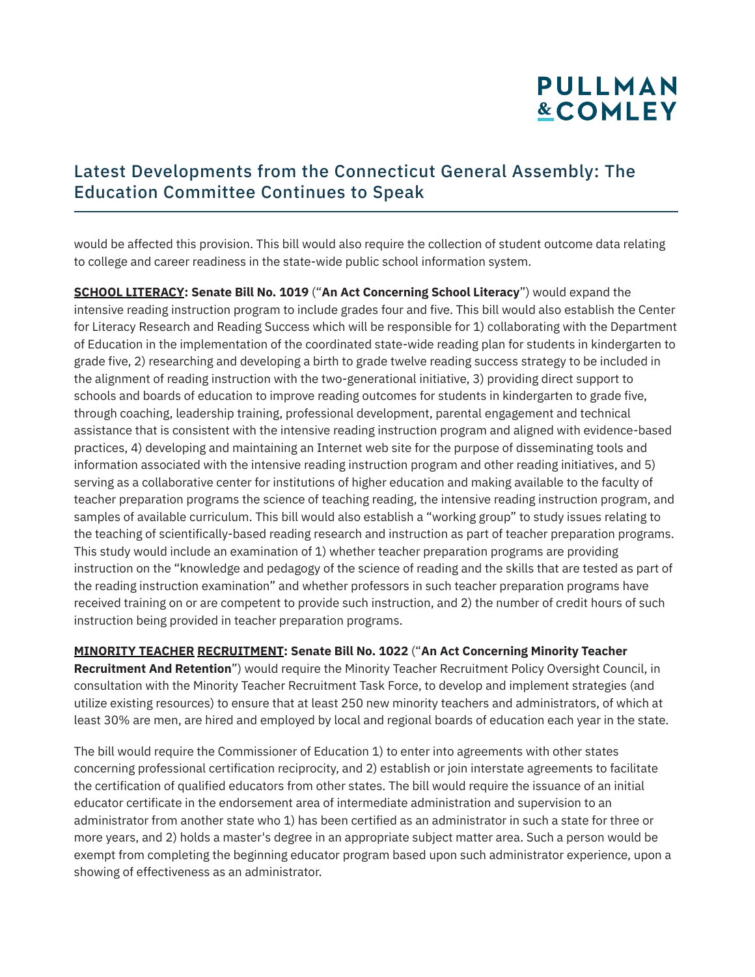#### Latest Developments from the Connecticut General Assembly: The Education Committee Continues to Speak

would be affected this provision. This bill would also require the collection of student outcome data relating to college and career readiness in the state-wide public school information system.

**SCHOOL LITERACY: Senate Bill No. 1019** ("**An Act Concerning School Literacy**") would expand the intensive reading instruction program to include grades four and five. This bill would also establish the Center for Literacy Research and Reading Success which will be responsible for 1) collaborating with the Department of Education in the implementation of the coordinated state-wide reading plan for students in kindergarten to grade five, 2) researching and developing a birth to grade twelve reading success strategy to be included in the alignment of reading instruction with the two-generational initiative, 3) providing direct support to schools and boards of education to improve reading outcomes for students in kindergarten to grade five, through coaching, leadership training, professional development, parental engagement and technical assistance that is consistent with the intensive reading instruction program and aligned with evidence-based practices, 4) developing and maintaining an Internet web site for the purpose of disseminating tools and information associated with the intensive reading instruction program and other reading initiatives, and 5) serving as a collaborative center for institutions of higher education and making available to the faculty of teacher preparation programs the science of teaching reading, the intensive reading instruction program, and samples of available curriculum. This bill would also establish a "working group" to study issues relating to the teaching of scientifically-based reading research and instruction as part of teacher preparation programs. This study would include an examination of 1) whether teacher preparation programs are providing instruction on the "knowledge and pedagogy of the science of reading and the skills that are tested as part of the reading instruction examination" and whether professors in such teacher preparation programs have received training on or are competent to provide such instruction, and 2) the number of credit hours of such instruction being provided in teacher preparation programs.

**MINORITY TEACHER RECRUITMENT: Senate Bill No. 1022** ("**An Act Concerning Minority Teacher Recruitment And Retention**") would require the Minority Teacher Recruitment Policy Oversight Council, in consultation with the Minority Teacher Recruitment Task Force, to develop and implement strategies (and utilize existing resources) to ensure that at least 250 new minority teachers and administrators, of which at least 30% are men, are hired and employed by local and regional boards of education each year in the state.

The bill would require the Commissioner of Education 1) to enter into agreements with other states concerning professional certification reciprocity, and 2) establish or join interstate agreements to facilitate the certification of qualified educators from other states. The bill would require the issuance of an initial educator certificate in the endorsement area of intermediate administration and supervision to an administrator from another state who 1) has been certified as an administrator in such a state for three or more years, and 2) holds a master's degree in an appropriate subject matter area. Such a person would be exempt from completing the beginning educator program based upon such administrator experience, upon a showing of effectiveness as an administrator.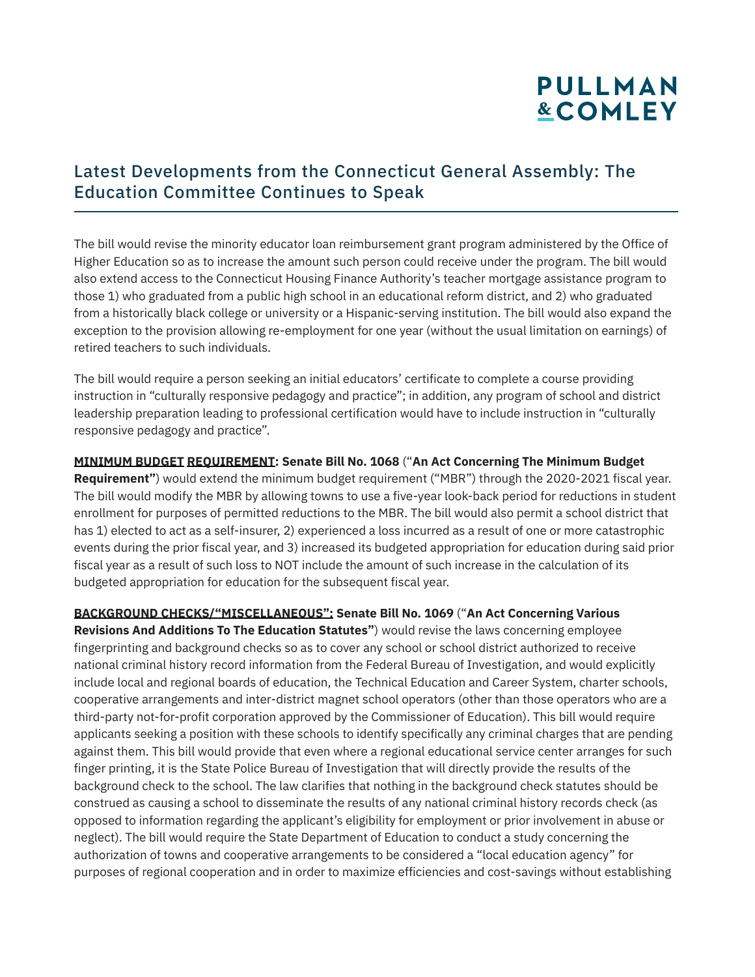#### Latest Developments from the Connecticut General Assembly: The Education Committee Continues to Speak

The bill would revise the minority educator loan reimbursement grant program administered by the Office of Higher Education so as to increase the amount such person could receive under the program. The bill would also extend access to the Connecticut Housing Finance Authority's teacher mortgage assistance program to those 1) who graduated from a public high school in an educational reform district, and 2) who graduated from a historically black college or university or a Hispanic-serving institution. The bill would also expand the exception to the provision allowing re-employment for one year (without the usual limitation on earnings) of retired teachers to such individuals.

The bill would require a person seeking an initial educators' certificate to complete a course providing instruction in "culturally responsive pedagogy and practice"; in addition, any program of school and district leadership preparation leading to professional certification would have to include instruction in "culturally responsive pedagogy and practice".

#### **MINIMUM BUDGET REQUIREMENT: Senate Bill No. 1068** ("**An Act Concerning The Minimum Budget**

**Requirement"**) would extend the minimum budget requirement ("MBR") through the 2020-2021 fiscal year. The bill would modify the MBR by allowing towns to use a five-year look-back period for reductions in student enrollment for purposes of permitted reductions to the MBR. The bill would also permit a school district that has 1) elected to act as a self-insurer, 2) experienced a loss incurred as a result of one or more catastrophic events during the prior fiscal year, and 3) increased its budgeted appropriation for education during said prior fiscal year as a result of such loss to NOT include the amount of such increase in the calculation of its budgeted appropriation for education for the subsequent fiscal year.

#### **BACKGROUND CHECKS/"MISCELLANEOUS": Senate Bill No. 1069** ("**An Act Concerning Various**

**Revisions And Additions To The Education Statutes"**) would revise the laws concerning employee fingerprinting and background checks so as to cover any school or school district authorized to receive national criminal history record information from the Federal Bureau of Investigation, and would explicitly include local and regional boards of education, the Technical Education and Career System, charter schools, cooperative arrangements and inter-district magnet school operators (other than those operators who are a third-party not-for-profit corporation approved by the Commissioner of Education). This bill would require applicants seeking a position with these schools to identify specifically any criminal charges that are pending against them. This bill would provide that even where a regional educational service center arranges for such finger printing, it is the State Police Bureau of Investigation that will directly provide the results of the background check to the school. The law clarifies that nothing in the background check statutes should be construed as causing a school to disseminate the results of any national criminal history records check (as opposed to information regarding the applicant's eligibility for employment or prior involvement in abuse or neglect). The bill would require the State Department of Education to conduct a study concerning the authorization of towns and cooperative arrangements to be considered a "local education agency" for purposes of regional cooperation and in order to maximize efficiencies and cost-savings without establishing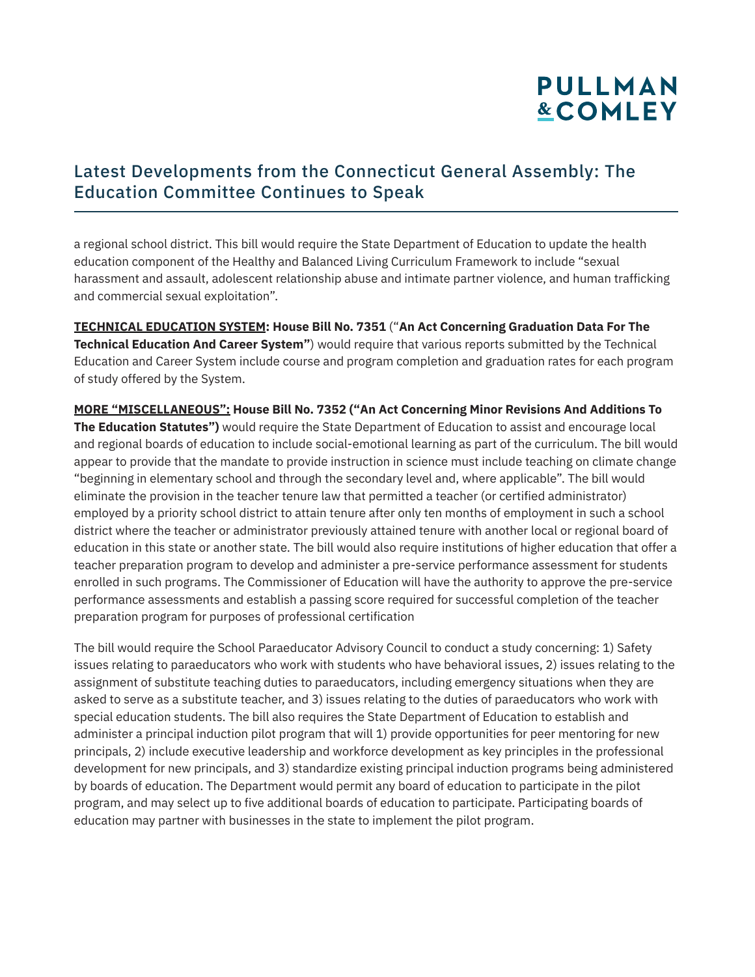#### Latest Developments from the Connecticut General Assembly: The Education Committee Continues to Speak

a regional school district. This bill would require the State Department of Education to update the health education component of the Healthy and Balanced Living Curriculum Framework to include "sexual harassment and assault, adolescent relationship abuse and intimate partner violence, and human trafficking and commercial sexual exploitation".

**TECHNICAL EDUCATION SYSTEM: House Bill No. 7351** ("**An Act Concerning Graduation Data For The Technical Education And Career System"**) would require that various reports submitted by the Technical Education and Career System include course and program completion and graduation rates for each program of study offered by the System.

**MORE "MISCELLANEOUS": House Bill No. 7352 ("An Act Concerning Minor Revisions And Additions To The Education Statutes")** would require the State Department of Education to assist and encourage local and regional boards of education to include social-emotional learning as part of the curriculum. The bill would appear to provide that the mandate to provide instruction in science must include teaching on climate change "beginning in elementary school and through the secondary level and, where applicable". The bill would eliminate the provision in the teacher tenure law that permitted a teacher (or certified administrator) employed by a priority school district to attain tenure after only ten months of employment in such a school district where the teacher or administrator previously attained tenure with another local or regional board of education in this state or another state. The bill would also require institutions of higher education that offer a teacher preparation program to develop and administer a pre-service performance assessment for students enrolled in such programs. The Commissioner of Education will have the authority to approve the pre-service performance assessments and establish a passing score required for successful completion of the teacher preparation program for purposes of professional certification

The bill would require the School Paraeducator Advisory Council to conduct a study concerning: 1) Safety issues relating to paraeducators who work with students who have behavioral issues, 2) issues relating to the assignment of substitute teaching duties to paraeducators, including emergency situations when they are asked to serve as a substitute teacher, and 3) issues relating to the duties of paraeducators who work with special education students. The bill also requires the State Department of Education to establish and administer a principal induction pilot program that will 1) provide opportunities for peer mentoring for new principals, 2) include executive leadership and workforce development as key principles in the professional development for new principals, and 3) standardize existing principal induction programs being administered by boards of education. The Department would permit any board of education to participate in the pilot program, and may select up to five additional boards of education to participate. Participating boards of education may partner with businesses in the state to implement the pilot program.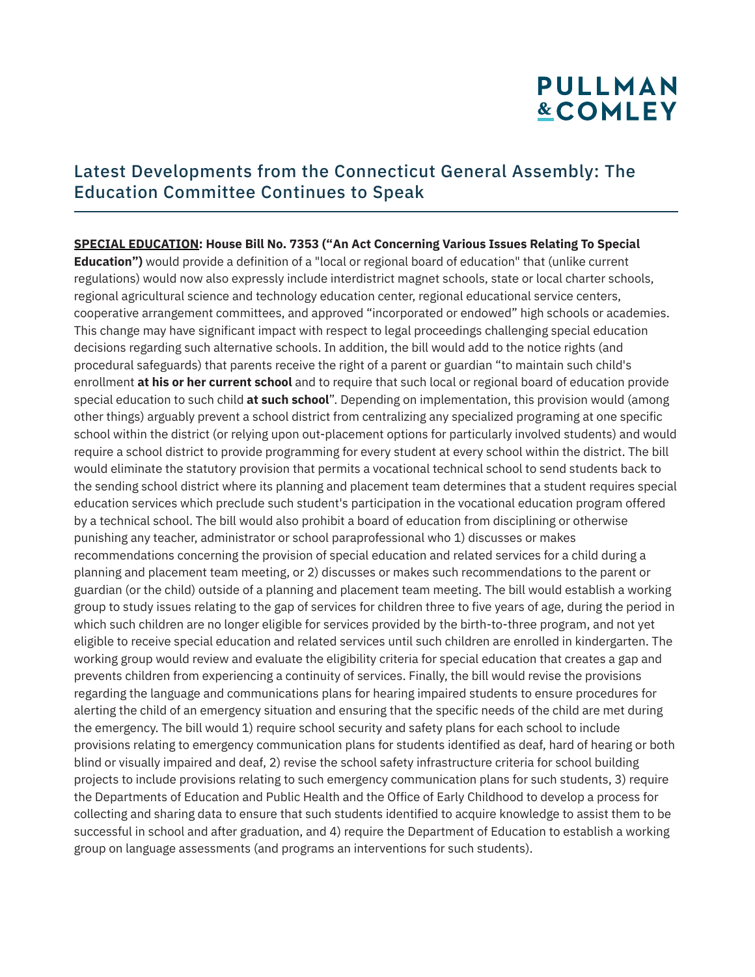#### Latest Developments from the Connecticut General Assembly: The Education Committee Continues to Speak

**SPECIAL EDUCATION: House Bill No. 7353 ("An Act Concerning Various Issues Relating To Special Education")** would provide a definition of a "local or regional board of education" that (unlike current regulations) would now also expressly include interdistrict magnet schools, state or local charter schools, regional agricultural science and technology education center, regional educational service centers, cooperative arrangement committees, and approved "incorporated or endowed" high schools or academies. This change may have significant impact with respect to legal proceedings challenging special education decisions regarding such alternative schools. In addition, the bill would add to the notice rights (and procedural safeguards) that parents receive the right of a parent or guardian "to maintain such child's enrollment **at his or her current school** and to require that such local or regional board of education provide special education to such child **at such school**". Depending on implementation, this provision would (among other things) arguably prevent a school district from centralizing any specialized programing at one specific school within the district (or relying upon out-placement options for particularly involved students) and would require a school district to provide programming for every student at every school within the district. The bill would eliminate the statutory provision that permits a vocational technical school to send students back to the sending school district where its planning and placement team determines that a student requires special education services which preclude such student's participation in the vocational education program offered by a technical school. The bill would also prohibit a board of education from disciplining or otherwise punishing any teacher, administrator or school paraprofessional who 1) discusses or makes recommendations concerning the provision of special education and related services for a child during a planning and placement team meeting, or 2) discusses or makes such recommendations to the parent or guardian (or the child) outside of a planning and placement team meeting. The bill would establish a working group to study issues relating to the gap of services for children three to five years of age, during the period in which such children are no longer eligible for services provided by the birth-to-three program, and not yet eligible to receive special education and related services until such children are enrolled in kindergarten. The working group would review and evaluate the eligibility criteria for special education that creates a gap and prevents children from experiencing a continuity of services. Finally, the bill would revise the provisions regarding the language and communications plans for hearing impaired students to ensure procedures for alerting the child of an emergency situation and ensuring that the specific needs of the child are met during the emergency. The bill would 1) require school security and safety plans for each school to include provisions relating to emergency communication plans for students identified as deaf, hard of hearing or both blind or visually impaired and deaf, 2) revise the school safety infrastructure criteria for school building projects to include provisions relating to such emergency communication plans for such students, 3) require the Departments of Education and Public Health and the Office of Early Childhood to develop a process for collecting and sharing data to ensure that such students identified to acquire knowledge to assist them to be successful in school and after graduation, and 4) require the Department of Education to establish a working group on language assessments (and programs an interventions for such students).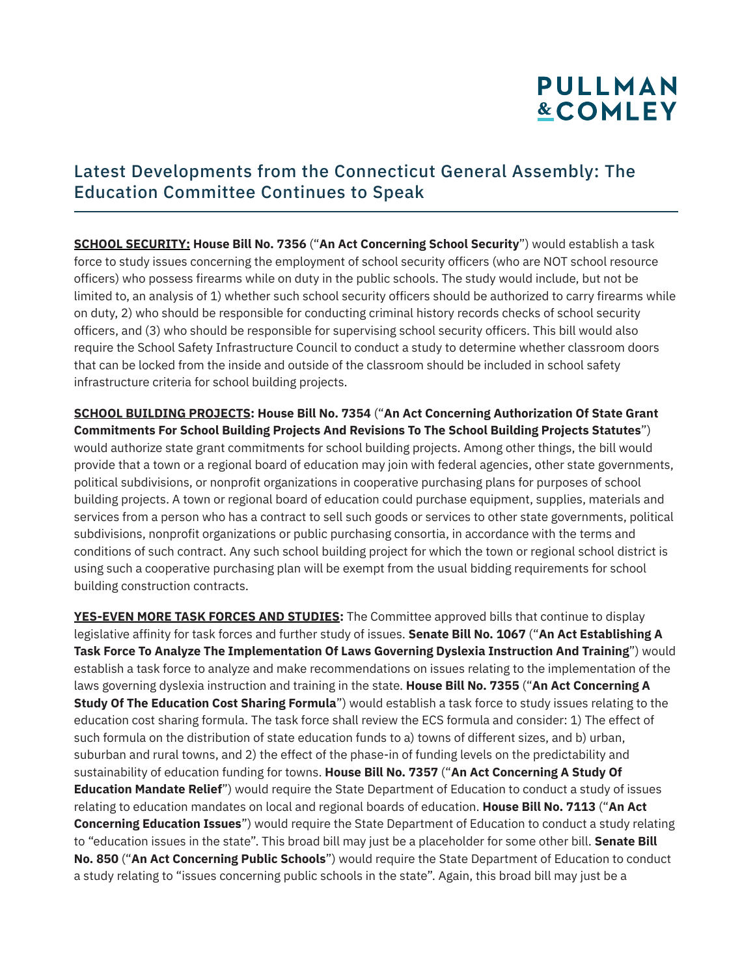#### Latest Developments from the Connecticut General Assembly: The Education Committee Continues to Speak

**SCHOOL SECURITY: House Bill No. 7356** ("**An Act Concerning School Security**") would establish a task force to study issues concerning the employment of school security officers (who are NOT school resource officers) who possess firearms while on duty in the public schools. The study would include, but not be limited to, an analysis of 1) whether such school security officers should be authorized to carry firearms while on duty, 2) who should be responsible for conducting criminal history records checks of school security officers, and (3) who should be responsible for supervising school security officers. This bill would also require the School Safety Infrastructure Council to conduct a study to determine whether classroom doors that can be locked from the inside and outside of the classroom should be included in school safety infrastructure criteria for school building projects.

**SCHOOL BUILDING PROJECTS: House Bill No. 7354** ("**An Act Concerning Authorization Of State Grant Commitments For School Building Projects And Revisions To The School Building Projects Statutes**") would authorize state grant commitments for school building projects. Among other things, the bill would provide that a town or a regional board of education may join with federal agencies, other state governments, political subdivisions, or nonprofit organizations in cooperative purchasing plans for purposes of school building projects. A town or regional board of education could purchase equipment, supplies, materials and services from a person who has a contract to sell such goods or services to other state governments, political subdivisions, nonprofit organizations or public purchasing consortia, in accordance with the terms and conditions of such contract. Any such school building project for which the town or regional school district is using such a cooperative purchasing plan will be exempt from the usual bidding requirements for school building construction contracts.

**YES-EVEN MORE TASK FORCES AND STUDIES:** The Committee approved bills that continue to display legislative affinity for task forces and further study of issues. **Senate Bill No. 1067** ("**An Act Establishing A Task Force To Analyze The Implementation Of Laws Governing Dyslexia Instruction And Training**") would establish a task force to analyze and make recommendations on issues relating to the implementation of the laws governing dyslexia instruction and training in the state. **House Bill No. 7355** ("**An Act Concerning A Study Of The Education Cost Sharing Formula**") would establish a task force to study issues relating to the education cost sharing formula. The task force shall review the ECS formula and consider: 1) The effect of such formula on the distribution of state education funds to a) towns of different sizes, and b) urban, suburban and rural towns, and 2) the effect of the phase-in of funding levels on the predictability and sustainability of education funding for towns. **House Bill No. 7357** ("**An Act Concerning A Study Of Education Mandate Relief**") would require the State Department of Education to conduct a study of issues relating to education mandates on local and regional boards of education. **House Bill No. 7113** ("**An Act Concerning Education Issues**") would require the State Department of Education to conduct a study relating to "education issues in the state". This broad bill may just be a placeholder for some other bill. **Senate Bill No. 850** ("**An Act Concerning Public Schools**") would require the State Department of Education to conduct a study relating to "issues concerning public schools in the state". Again, this broad bill may just be a